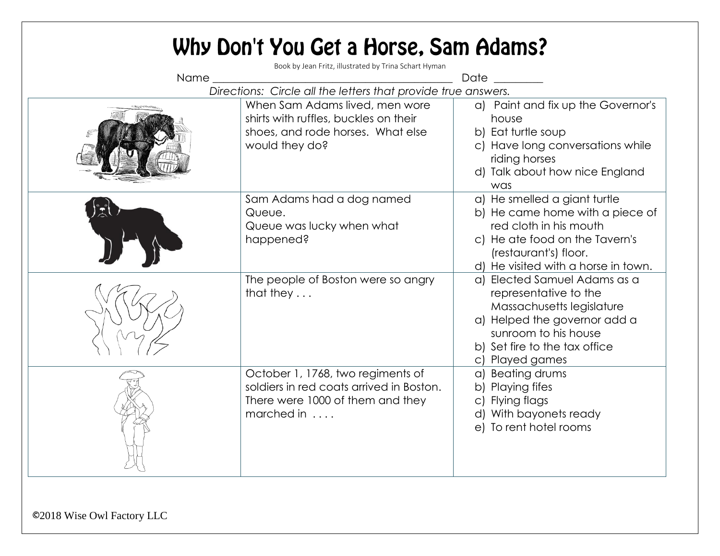|                                                               | Why Don't You Get a Horse, Sam Adams?<br>Book by Jean Fritz, illustrated by Trina Schart Hyman                                  |                                                                                                                                                                                                |  |  |
|---------------------------------------------------------------|---------------------------------------------------------------------------------------------------------------------------------|------------------------------------------------------------------------------------------------------------------------------------------------------------------------------------------------|--|--|
| Name_                                                         |                                                                                                                                 | <b>Date</b>                                                                                                                                                                                    |  |  |
| Directions: Circle all the letters that provide true answers. |                                                                                                                                 |                                                                                                                                                                                                |  |  |
|                                                               | When Sam Adams lived, men wore<br>shirts with ruffles, buckles on their<br>shoes, and rode horses. What else<br>would they do?  | a) Paint and fix up the Governor's<br>house<br>b) Eat turtle soup<br>c) Have long conversations while<br>riding horses<br>d) Talk about how nice England<br>was                                |  |  |
|                                                               | Sam Adams had a dog named<br>Queue.<br>Queue was lucky when what<br>happened?                                                   | a) He smelled a giant turtle<br>b) He came home with a piece of<br>red cloth in his mouth<br>c) He ate food on the Tavern's<br>(restaurant's) floor.<br>d) He visited with a horse in town.    |  |  |
|                                                               | The people of Boston were so angry<br>that they $\dots$                                                                         | a) Elected Samuel Adams as a<br>representative to the<br>Massachusetts legislature<br>a) Helped the governor add a<br>sunroom to his house<br>b) Set fire to the tax office<br>c) Played games |  |  |
|                                                               | October 1, 1768, two regiments of<br>soldiers in red coats arrived in Boston.<br>There were 1000 of them and they<br>marched in | a) Beating drums<br>b) Playing fifes<br>c) Flying flags<br>d) With bayonets ready<br>e) To rent hotel rooms                                                                                    |  |  |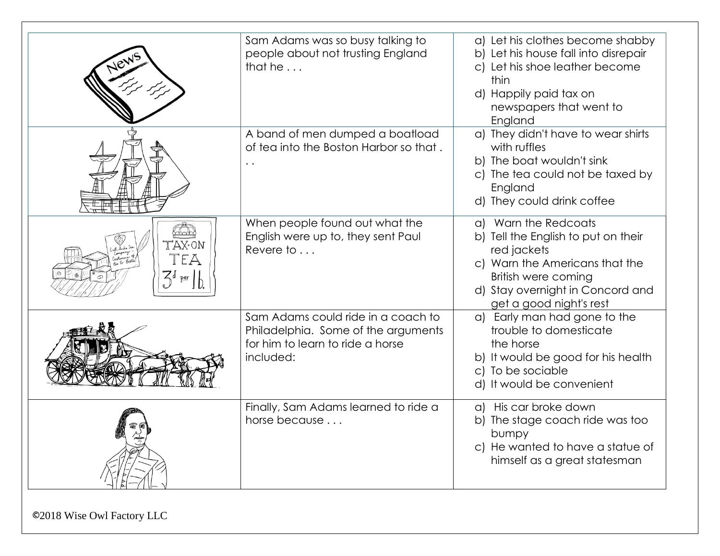| New                                | Sam Adams was so busy talking to<br>people about not trusting England<br>that he $\ldots$                                  | a) Let his clothes become shabby<br>b) Let his house fall into disrepair<br>c) Let his shoe leather become<br>thin<br>d) Happily paid tax on<br>newspapers that went to<br>England                 |
|------------------------------------|----------------------------------------------------------------------------------------------------------------------------|----------------------------------------------------------------------------------------------------------------------------------------------------------------------------------------------------|
|                                    | A band of men dumped a boatload<br>of tea into the Boston Harbor so that.<br>$\ddot{\phantom{0}}$                          | a) They didn't have to wear shirts<br>with ruffles<br>b) The boat wouldn't sink<br>c) The tea could not be taxed by<br>England<br>d) They could drink coffee                                       |
| mm<br>TAX.ON<br>TEA<br>$3^{6}$ per | When people found out what the<br>English were up to, they sent Paul<br>Revere to $\dots$                                  | a) Warn the Redcoats<br>b) Tell the English to put on their<br>red jackets<br>c) Warn the Americans that the<br>British were coming<br>d) Stay overnight in Concord and<br>get a good night's rest |
|                                    | Sam Adams could ride in a coach to<br>Philadelphia. Some of the arguments<br>for him to learn to ride a horse<br>included: | a) Early man had gone to the<br>trouble to domesticate<br>the horse<br>b) It would be good for his health<br>c) To be sociable<br>d) It would be convenient                                        |
|                                    | Finally, Sam Adams learned to ride a<br>horse because                                                                      | a) His car broke down<br>b) The stage coach ride was too<br>bumpy<br>c) He wanted to have a statue of<br>himself as a great statesman                                                              |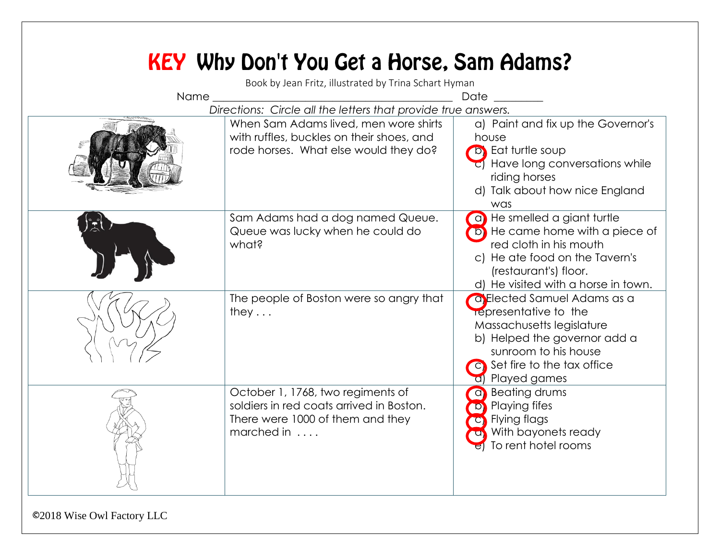| $Name_\_$ | <b>KEY</b> Why Don't You Get a Horse, Sam Adams?<br>Book by Jean Fritz, illustrated by Trina Schart Hyman                                                                                    | Date                                                                                                                                                                                              |
|-----------|----------------------------------------------------------------------------------------------------------------------------------------------------------------------------------------------|---------------------------------------------------------------------------------------------------------------------------------------------------------------------------------------------------|
|           | Directions: Circle all the letters that provide true answers.<br>When Sam Adams lived, men wore shirts<br>with ruffles, buckles on their shoes, and<br>rode horses. What else would they do? | a) Paint and fix up the Governor's<br>house<br><b>b</b> Eat turtle soup<br>c) Have long conversations while<br>riding horses<br>d) Talk about how nice England<br>was                             |
|           | Sam Adams had a dog named Queue.<br>Queue was lucky when he could do<br>what?                                                                                                                | a) He smelled a giant turtle<br>(b) He came home with a piece of<br>red cloth in his mouth<br>c) He ate food on the Tavern's<br>(restaurant's) floor.<br>d) He visited with a horse in town.      |
|           | The people of Boston were so angry that<br>they $\ldots$                                                                                                                                     | <b>Calded Samuel Adams as a</b><br>representative to the<br>Massachusetts legislature<br>b) Helped the governor add a<br>sunroom to his house<br>c) Set fire to the tax office<br>d) Played games |
|           | October 1, 1768, two regiments of<br>soldiers in red coats arrived in Boston.<br>There were 1000 of them and they<br>marched in                                                              | a Beating drums<br><b>D</b> Playing fifes<br>C Flying flags<br>a) With bayonets ready<br>To rent hotel rooms                                                                                      |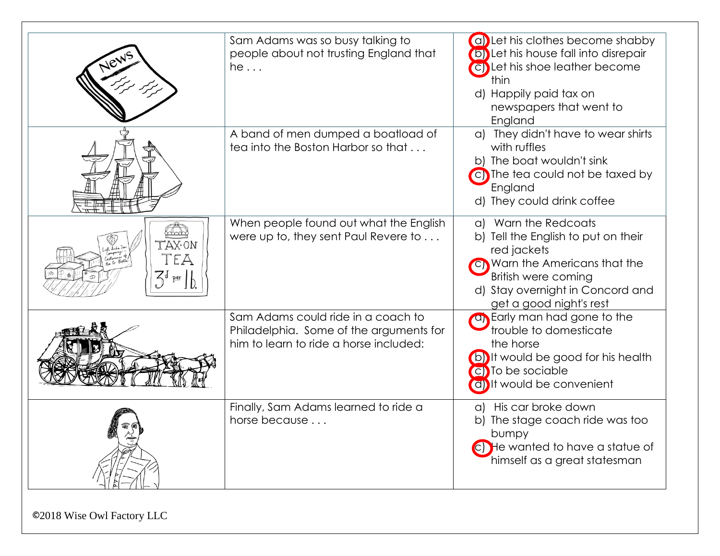|                                             | Sam Adams was so busy talking to<br>people about not trusting England that<br>he                                        | (a) Let his clothes become shabby<br>(b) Let his house fall into disrepair<br>(c) Let his shoe leather become<br>thin<br>d) Happily paid tax on<br>newspapers that went to<br>England              |
|---------------------------------------------|-------------------------------------------------------------------------------------------------------------------------|----------------------------------------------------------------------------------------------------------------------------------------------------------------------------------------------------|
|                                             | A band of men dumped a boatload of<br>tea into the Boston Harbor so that                                                | a) They didn't have to wear shirts<br>with ruffles<br>b) The boat wouldn't sink<br>c) The tea could not be taxed by<br>England<br>d) They could drink coffee                                       |
| TAX.ON<br>Tea<br>$\mathcal{Z}_{\text{per}}$ | When people found out what the English<br>were up to, they sent Paul Revere to                                          | a) Warn the Redcoats<br>b) Tell the English to put on their<br>red jackets<br>C) Warn the Americans that the<br>British were coming<br>d) Stay overnight in Concord and<br>get a good night's rest |
|                                             | Sam Adams could ride in a coach to<br>Philadelphia. Some of the arguments for<br>him to learn to ride a horse included: | an Early man had gone to the<br>trouble to domesticate<br>the horse<br>(b) It would be good for his health<br>C) To be sociable<br>(d) It would be convenient                                      |
|                                             | Finally, Sam Adams learned to ride a<br>horse because                                                                   | a) His car broke down<br>b) The stage coach ride was too<br>bumpy<br>C) He wanted to have a statue of<br>himself as a great statesman                                                              |